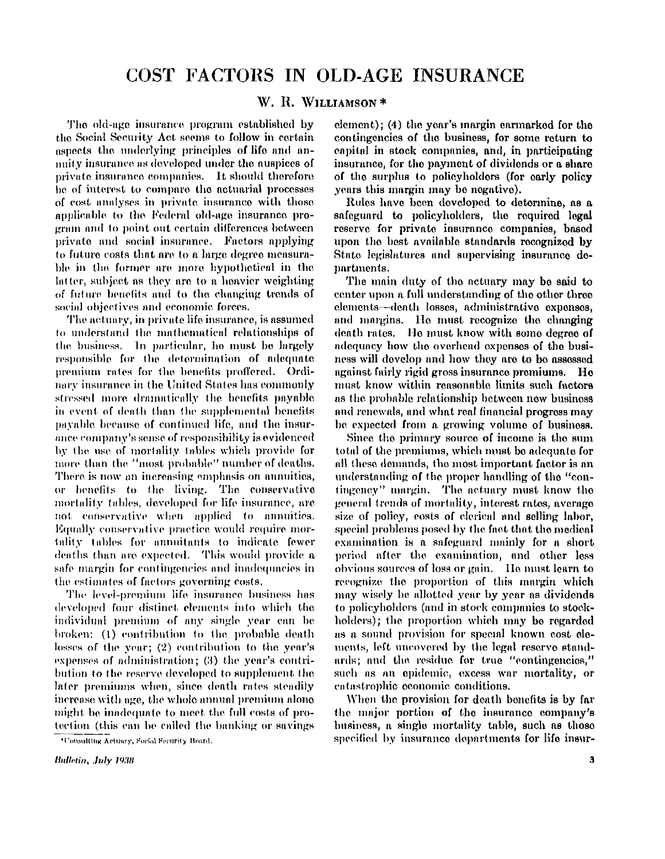## **W. R . WILLIAMSON\***

**The old-age insurance program established by the Social Security Act seems to follow in certain aspects the underlying principles of life and annuity insurance as developed under the auspices of private insurance companies. It should therefore be of interest to compare the actuarial processes of cost analyses in private insurance with those applicable to the Federal old-age insurance program and to point out certain differences between private and social insurance. Factors applying to future costs that are to a large degree measurable in the former are more hypothetical in the latter, subject as they are to a heavier weighting of future benefits and to the changing trends of social objectives and economic forces.** 

**The actuary, in private life insurance, is assumed to understand the mathematical relationships of the business. In particular, he must be largely responsible for the determination of adequate premium rates for the benefits proffered. Ordinary insurance in the United States has commonly stressed more dramatically the benefits payable in event of death than the supplemental benefits payable because of continued life, and the insurance company's sense of responsibility is evidenced by the use of mortality tables which provide for more than the "most probable" number of deaths. There is now an increasing emphasis on annuities, or benefits to the living. The conservative mortality tables, developed for life insurance, are not conservative when applied to annuities. Equally conservative practice would require mortality tables for annuitants to indicate fewer deaths than are expected. This would provide a safe margin for contingencies and inadequacies in the estimates of factors governing costs.** 

**The level-premium life insurance business has developed four distinct elements into which the individual premium of any single year can be broken: (1) contribution to the probable death losses of the year; (2) contribution to the year's expenses of administration; (3) the year's contribution to the reserve developed to supplement the later premiums when, since death rates steadily increase with age, the whole annual premium alone might be inadequate to meet the full costs of protection (this can be called the banking or savings** 

**element); (4) the year's margin earmarked for the contingencies of the business, for some return to capital in stock companies, and, in participating insurance, for the payment of dividends or a share of the surplus to policyholders (for early policy years this margin may be negative).** 

**Rules have been developed to determine, as a safeguard to policyholders, the required legal reserve for private insurance companies, based upon the best available standards recognized by State legislatures and supervising insurance departments.** 

**The main duty of the actuary may be said to center upon a full understanding of the other three elements—death losses, administrative expenses, and margins. He must recognize the changing death rates. He must know with some degree of adequacy how the overhead expenses of the business will develop and how they are to be assessed against fairly rigid gross insurance premiums. He must know within reasonable limits such factors as the probable relationship between new business and renewals, and what real financial progress may be expected from a growing volume of business.** 

**Since the primary source of income is the sum total of the premiums, which must be adequate for all these demands, the most important factor is an understanding of the proper handling of the "contingency" margin. The actuary must know the general trends of mortality, interest rates, average size of policy, costs of clerical and selling labor, special problems posed by the fact that the medical examination is a safeguard mainly for a short period after the examination, and other less obvious sources of loss or gain. He must learn to recognize the proportion of this margin which may wisely be allotted year by year as dividends to policyholders (and in stock companies to stockholders); the proportion which may be regarded as a sound provision for special known cost elements, left uncovered by the legal reserve standards; and the residue for true "contingencies," such as an epidemic, excess war mortality, or catastrophic economic conditions.** 

**When the provision for death benefits is by far the major portion of the insurance company's business, a single mortality table, such as those specified by insurance departments for life insur-**

**<sup>\*</sup>Consulting Actuary, Social Security Board.**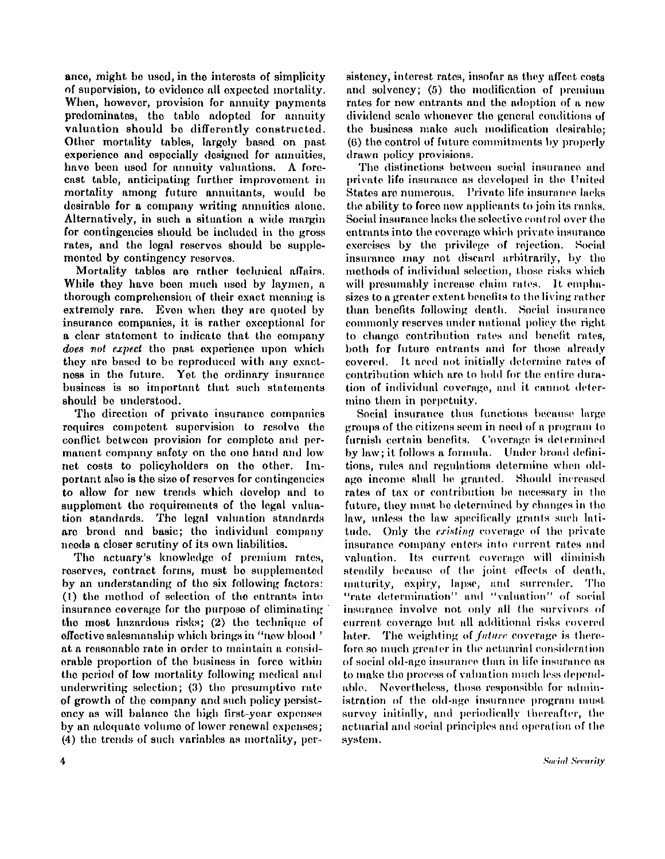**ance, might be used, in the interests of simplicity of supervision, to evidence all expected mortality. When, however, provision for annuity payments predominates, the table adopted for annuity valuation should be differently constructed. Other mortality tables, largely based on past experience and especially designed for annuities, have been used for annuity valuations. A forecast table, anticipating further improvement in mortality among future annuitants, would be desirable for a company writing annuities alone. Alternatively, in such a situation a wide margin for contingencies should be included in the gross**  rates, and the legal reserves should be supple**mented by contingency reserves.** 

**Mortality tables are rather technical affairs. While they have been much used by laymen, a thorough comprehension of their exact meaning is extremely rare. Even when they are quoted by insurance companies, it is rather exceptional for a clear statement to indicate that the company**  *does not expect* **the past experience upon which they are based to be reproduced with any exactness in the future. Ye t the ordinary insurance business is so important that such statements should be understood.** 

**The direction of private insurance companies requires competent supervision to resolve the conflict between provision for complete and permanent company safety on the one hand and low**  net costs to policyholders on the other. Im**portant also is the size of reserves for contingencies to allow for new trends which develop and to supplement the requirements of the legal valuation standards. The legal valuation standards are broad and basic; the individual company needs a closer scrutiny of its own liabilities.** 

**The actuary's knowledge of premium rates, reserves, contract forms, must be supplemented by an understanding of the six following factors: ( I) the method of selection of the entrants into insurance coverage for the purpose of eliminating the most hazardous risks; (2) the technique of effective salesmanship which brings in "new blood' at a reasonable rate in order to maintain a considerable proportion of the business in force within the period of low mortality following medical and underwriting selection; (3) the presumptive rate of growth of the company and such policy persistency as will balance the high first-year expenses by an adequate volume of lower renewal expenses; (4) the trends of such variables as mortality, per-** **sistency, interest rates, insofar as they affect costs and solvency; (5) the modification of premium rates for new entrants and the adoption of a new dividend scale whenever the general conditions of the business make such modification desirable; (6) the control of future commitments by properly drawn policy provisions.** 

**The distinctions between social insurance and private life insurance as developed in the United States are numerous. Private life insurance lacks the ability to force new applicants to join its ranks. Social insurance lacks the selective control over the entrants into the coverage which private insurance exercises by the privilege of rejection. Social insurance may not discard arbitrarily, by the methods of individual selection, those risks which will presumably increase claim rates. It emphasizes to a greater extent benefits to the living rather than benefits following death. Social insurance commonly reserves under national policy the right to change contribution rates and benefit rates, both for future entrants and for those already covered. It need not initially determine rates of contribution which are to hold for the entire duration of individual coverage, and it cannot determine them in perpetuity.** 

**Social insurance thus functions because large groups of the citizens seem in need of a program to furnish certain benefits. Coverage is determined by law; it follows a formula. Under broad definitions, rules and regulations determine when oldage income shall be granted. Should increased rates of tax or contribution be necessary in the future, they must be determined by changes in the law, unless the law specifically grants such latitude. Only the** *existing* **coverage of the private insurance company enters into current rates and valuation. Its current coverage will diminish steadily because of the joint effects of death, maturity, expiry, lapse, and surrender. The "rate determination" and "valuation" of social insurance involve not only all the survivors of current coverage but all additional risks covered**  later. The weighting of *future* coverage is there**fore so much greater in the actuarial consideration of social old-age insurance than in life insurance as to make the process of valuation much less dependable. Nevertheless, those responsible for administration of the old-age insurance program must survey initially, and periodically thereafter, the actuarial and social principles and operation of the system.**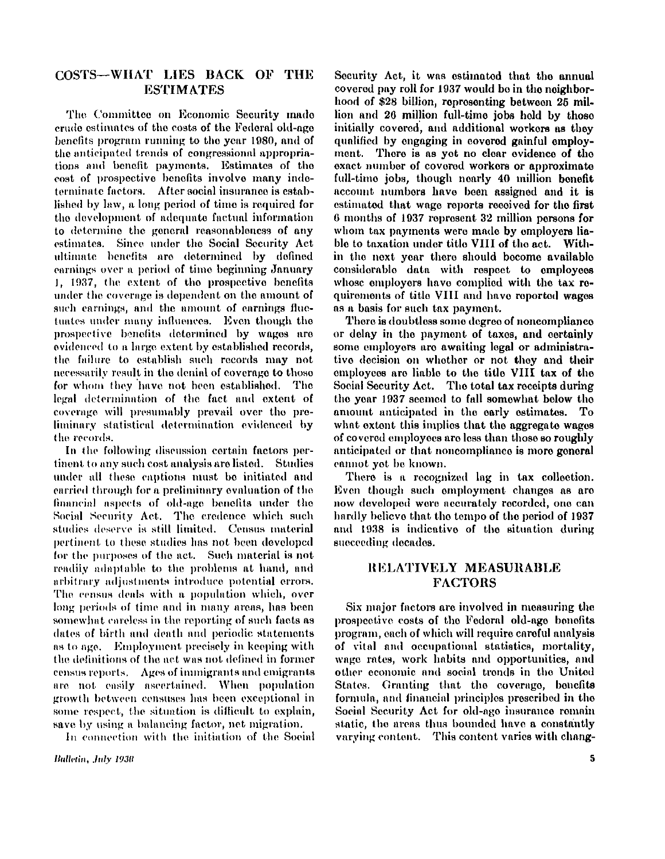# $\overline{\text{COSTS}} - \text{WHAT}$  lies back of the **ESTIMATES**

**The Committee on Economic Security made crude estimates of the costs of the Federal old-age benefits program running to the year 1980, and of the anticipated trends of congressional appropriations and benefit payments. Estimates of the cost of prospective benefits involve many indeterminate factors. After social insurance is established by law, a long period of time is required for the development of adequate factual information to determine the general reasonableness of any estimates. Since under the Social Security Act ultimate benefits are determined by defined earnings over a period of time beginning January 1, 1937, the extent of the prospective benefits under the coverage is dependent on the amount of such earnings, and the amount of earnings fluctuates under many influences. Even though the prospective benefits determined by wages are evidenced to a large extent by established records, the failure to establish such records may not necessarily result in the denial of coverage to those for whom they have not been established. The legal determination of the fact and extent of coverage will presumably prevail over the preliminary statistical determination evidenced by the records.** 

**In the following discussion certain factors pertinent to any such cost analysis are listed. Studies under all these captions must be initiated and carried through for a preliminary evaluation of the financial aspects of old-age benefits under the Social Security Act. The credence which such studies deserve is still limited. Census material pertinent to these studies has not been developed for the purposes of the act. Such material is not readily adaptable to the problems at hand, and arbitrary adjustments introduce potential errors. The census deals with a population which, over long periods of time and in many areas, has been somewhat careless in the reporting of such facts as dates of birth and death and periodic statements as to age. Employment precisely in keeping with the definitions of the act was not defined in former census reports. Ages of immigrants and emigrants are not easily ascertained. When population growth between censuses has been exceptional in some respect, the situation is difficult to explain, save by using a balancing factor, net migration.** 

**In connection with the initiation of the Social** 

**Security Act, it was estimated that the annual covered pay roll for 1937 would be in the neighborhood of \$28 billion, representing between 25 million and 26 million full-time jobs held by those initially covered, and additional workers as they qualified by engaging in covered gainful employ**ment. There is as yet no clear evidence of the **exact number of covered workers or approximate full-time jobs, though nearly 40 million benefit account numbers have been assigned and it is estimated that wage reports received for the first 6 months of 1937 represent 32 million persons for whom tax payments were made by employers liable to taxation under title VIII of the act. Within the next year there should become available considerable data with respect to employees whose employers have complied with the tax requirements of title VIII and have reported wages as a basis for such tax payment.** 

**There is doubtless some degree of noncompliance or delay in the payment of taxes, and certainly some employers are awaiting legal or administrative decision on whether or not they and their employees are liable to the title VIII tax of the Social Security Act. The total tax receipts during the year 1937 seemed to fall somewhat below the amount anticipated in the early estimates. To what extent this implies that the aggregate wages of covered employees are less than those so roughly anticipated or that noncompliance is more general cannot yet be known.** 

**There is a recognized lag in tax collection. Even though such employment changes as are now developed were accurately recorded, one can hardly believe that the tempo of the period of 1937 and 1938 is indicative of the situation during succeeding decades.** 

# **RELATIVEL Y MEASURABL E FACTORS**

**Six major factors are involved in measuring the prospective costs of the Federal old-age benefits program, each of which will require careful analysis of vital and occupational statistics, mortality, wage rates, work habits and opportunities, and other economic and social trends in the United States. Granting that the coverage, benefits formula, and financial principles prescribed in the Social Security Act for old-age insurance remain static, the areas thus bounded have a constantly varying content. This content varies with chang-**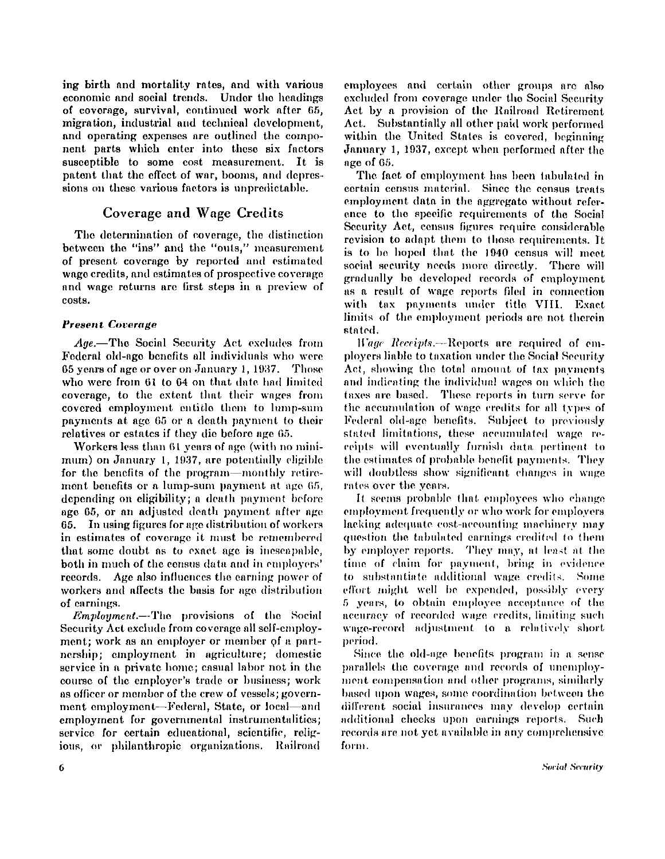**ing birth and mortality rates, and with various economic and social trends. Under the headings of coverage, survival, continued work after 65, migration, industrial and technical development, and operating expenses are outlined the component parts which enter into these six factors susceptible to some cost measurement. It is patent that the effect of war, booms, and depressions on these various factors is unpredictable.** 

# **Coverage and Wage Credits**

**The determination of coverage, the distinction between the "ins" and the "outs," measurement of present coverage by reported and estimated wage credits, and estimates of prospective coverage and wage returns are first steps in a preview of costs.** 

### *Present Coverage*

*Age.***—The Social Security Act excludes from Federal old-age benefits all individuals who were 65 years of age or over on January 1, 1937. Those who were from 61 to 64 on that date had limited coverage, to the extent that their wages from covered employment entitle them to lump-sum payments at age 65 or a death payment to their relatives or estates if they die before age 65.** 

**Workers less than 61 years of age (with no minimum) on January 1, 1937, are potentially eligible for the benefits of the program—monthly retirement benefits or a lump-sum payment at age 65, depending on eligibility; a death payment before age 65, or an adjusted death payment after age 65. I n using figures for age distribution of workers in estimates of coverage it must be remembered that some doubt as to exact age is inescapable, both in much of the census data and in employers' records. Age also influences the earning power of workers and affects the basis for age distribution of earnings.** 

*Employment.***—The provisions of the Social Security Act exclude from coverage all self-employment; work as an employer or member of a partnership; employment in agriculture; domestic service in a private home; casual labor not in the course of the employer's trade or business; work as officer or member of the crew of vessels; government employment—Federal, State, or local—and employment for governmental instrumentalities; service for certain educational, scientific, religious, or philanthropic organizations. Railroad** 

**employees and certain other groups are also excluded from coverage under the Social Security Ac t by a provision of the Railroad Retirement Act. Substantially all other paid work performed within the United States is covered, beginning January 1, 1937, except when performed after the age of 65.** 

**The fact of employment has been tabulated in certain census material. Since the census treats employment data in the aggregate without reference to the specific requirements of the Social Security Act, census figures require considerable revision to adapt them to those requirements. It is to be hoped that the 1940 census will meet social security needs more directly. There will gradually be developed records of employment as a result of wage reports filed in connection with tax payments under title VIII . Exact limits of the employment periods are not therein stated.** 

*Wage Receipts.***—Reports are required of employers liable to taxation under the Social Security Act, showing the total amount of tax payments and indicating the individual wages on which the taxes are based. These reports in turn serve for the accumulation of wage credits for all types of Federal old-age benefits. Subject to previously stated limitations, these accumulated wage receipts will eventually furnish data pertinent to the estimates of probable benefit payments. They will doubtless show significant changes in wage rates over the years.** 

**It seems probable that employees who change employment frequently or who work for employers lacking adequate, cost-accounting machinery may question the tabulated earnings credited to them by employer reports. They may, at least at the time of claim for payment, bring in evidence to substantiate additional wage credits. Some effort might well be expended, possibly every 5 years, to obtain employee acceptance of the accuracy of recorded wage credits, limiting such wage-record adjustment to a relatively short period.** 

**Since the old-age benefits program in a sense parallels the coverage and records of unemployment compensation and other programs, similarly based upon wages, some coordination between the different social insurances may develop certain additional checks upon earnings reports. Such records are not yet available in any comprehensive form.**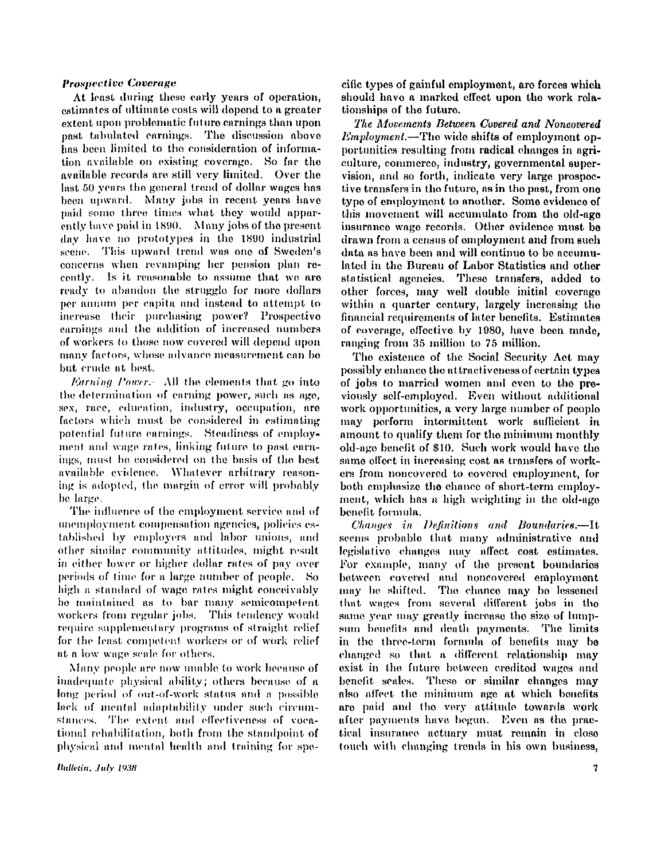#### *Prospective Coverage*

**At least during these early years of operation, estimates of ultimate costs will depend to a greater extent upon problematic future earnings than upon post tabulated earnings. The discussion above has been limited to the consideration of information available on existing coverage So far the available records are still very limited. Over the last 50 years the general trend of dollar wages has been upward. Many jobs in recent years have paid some three times what they would apparently have paid in 1890. Many jobs of the present day have no prototypes in the 1890 industrial scene. This upward trend was one of Sweden's concerns when revamping her pension plan recently. Is it reasonable to assume that we are ready to abandon the struggle for more dollars per annum per capita and instead to attempt to increase their purchasing power? Prospective earnings and the addition of increased numbers of workers to those now covered will depend upon many factors, whose advance measurement can be but crude at best.** 

*Earning Power.-* **All the elements that go into the determination of earning power, such as age, sex, race, education, industry, occupation, are factors which must be considered in estimating potential future earnings. Steadiness of employment and wage rates, linking future to past earnings, must be considered on the basis of the best available evidence. Whatever arbitrary reasoning is adopted, the margin of error will probably be large.** 

**The influence of the employment service and of unemployment compensation agencies, policies established by employers and labor unions, and other similar community attitudes, might result in either lower or higher dollar rates of pay over periods of time for a large number of people. So high a standard of wage rates might conceivably be maintained as to bar many semicompetent workers from regular jobs. This tendency would require supplementary programs of straight relief for the least competent workers or of work relief at a low wage scale for others.** 

**Many people are now unable to work because of inadequate physical ability; others because of a long period of out-of-work status and a possible lack of mental adaptability under such circumstances. The extent and effectiveness of vocational rehabilitation, both from the standpoint of physical and mental health and training for spe-**

Bulletin, July 1938

**cific types of gainful employment, are forces which should have a marked effect upon the work relationships of the future.** 

*The Movements Between Covered and Noncovered Employment.***—The wide shifts of employment opportunities resulting from radical changes in agriculture, commerce, industry, governmental supervision, and so forth, indicate very large prospective transfers in the future, as in the past, from one type of employment to another. Some evidence of this movement will accumulate from the old-age insurance wage records. Other evidence must be drawn from a census of employment and from such data as have been and will continue to be accumulated in the Bureau of Labor Statistics and other statistical agencies. These transfers, added to other forces, may well double initial coverage within a quarter century, largely increasing the financial requirements of later benefits. Estimates of coverage, effective by 1980, have been made, ranging from 35 million to 75 million.** 

**The existence of the Social Security Act may possibly enhance the attractiveness of certain types of jobs to married women and even to the previously self-employed. Even without additional work opportunities, a very large number of people may perform intermittent work sufficient in amount to qualify them for the minimum monthly old-age benefit of \$10. Such work would have the same effect in increasing cost as transfers of workers from noncovered to covered employment, for both emphasize the chance of short-term employment, which has a high weighting in the old-age benefit formula.** 

*Changes in Definitions and Boundaries.***—It seems probable that many administrative and**  legislative changes may affect cost estimates. **For example, many of the present boundaries between covered and noncovered employment may be shifted. The chance may be lessened that wages from several different jobs in the same year may greatly increase the size of lumpsum benefits and death payments. The limits in the three-term formula of benefits may be changed so that a different relationship may exist in the future between credited wages and benefit scales. These or similar changes may also affect the minimum age at which benefits are paid and the very attitude towards work after payments have begun. Even as the practical insurance actuary must remain in close touch with changing trends in his own business,**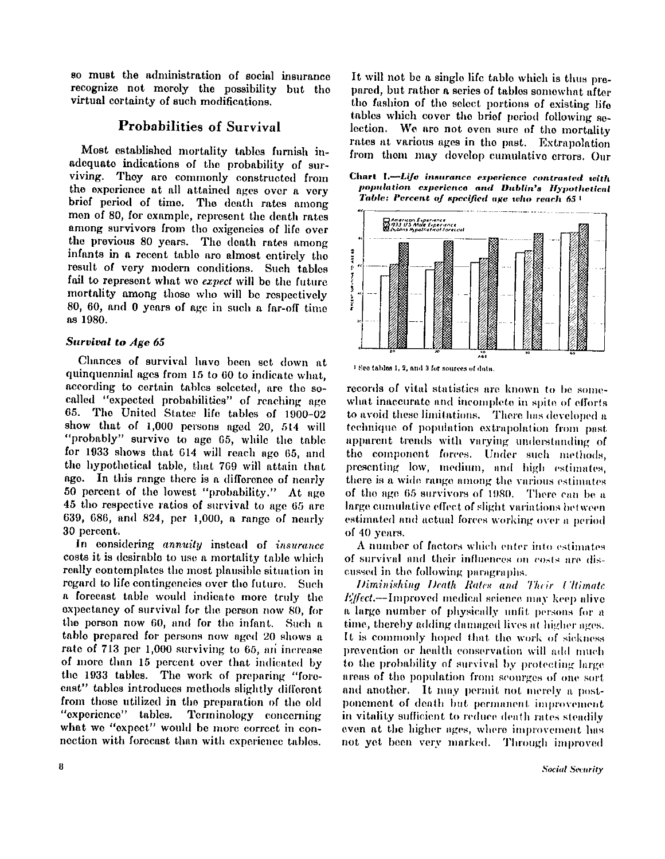**so must the administration of social insurance recognize not merely the possibility but the virtual certainty of such modifications.** 

# **Probabilities of Survival**

**Most established mortality tables furnish inadequate indications of the probability of surviving. They are commonly constructed from the experience at all attained ages over a very brief period of time. The death rates among men of 80, for example, represent the death rates among survivors from the exigencies of life over the previous 80 years. The death rates among infants in a recent table are almost entirely the result of very modern conditions. Such tables fail to represent what we** *expect* **will be the future mortality among those who will be respectively 80, 60, and 0 years of age in such a far-off time as 1980.** 

### *Survival to Age 65*

**Chances of survival have been set down at quinquennial ages from 15 to 60 to indicate what, according to certain tables selected, are the socalled "expected probabilities" of reaching age 65. The United States life tables of 1900-02 show that of 1,000 persons aged 20, 514 will "probably" survive to age 65, while the table for 1933 shows that 614 will reach age 65, and the hypothetical table, that 769 will attain that**  age. In this range there is a difference of nearly **50 percent of the lowest "probability." At age 45 the respective ratios of survival to age 65 are 639, 686, and 824, per 1,000, a range of nearly 30 percent.** 

**I n considering** *annuity* **instead of** *insurance*  **costs it is desirable to use a mortality table which really contemplates the most plausible situation in regard to life contingencies over the future. Such a forecast table would indicate more truly the expectancy of survival for the person now 80, for the person now 60, and for the infant. Such a table prepared for persons now aged 20 shows a rate of 713 per 1,000 surviving to 65, an increase of more than 15 percent over that indicated by the 1933 tables. The work of preparing "forecast" tables introduces methods slightly different from those utilized in the preparation of the old "experience" tables. Terminology concerning what we "expect" would be more correct in connection with forecast than with experience tables.** 

**It will not be a single life table which is thus prepared, but rather a series of tables somewhat after the fashion of the select portions of existing life tables which cover the brief period following selection. We are not even sure of the mortality rates at various ages in the past. Extrapolation from them may develop cumulative errors. Our** 

**Chart I.—***Life insurance experience contrasted with population experience and Dublin's Hypothetical Table: Percent of specified age who reach 65<sup>1</sup>*



**1 See tables 1, 2, and 3 for sources of data.** 

**records of vital statistics are known to be somewhat inaccurate and incomplete in spite of efforts to avoid these limitations. There has developed a technique of population extrapolation from past apparent trends with varying understanding of the component forces. Under such methods, presenting low, medium, and high estimates, there is a wide range among the various estimates of the age 65 survivors of 1980. There can be a large cumulative effect of slight variations between estimated and actual forces working over a period of 40 years.** 

**A number of factors which enter into estimates of survival and their influences on costs are discussed in the following paragraphs.** 

*Diminishing Death Rates and Their Ultimate Effect.***—Improved medical science may keep alive a large number of physically unfit persons for a time, thereby adding damaged lives at higher ages. It is commonly hoped that the work of sickness prevention or health conservation will add much to the probability of survival by protecting large areas of the population from scourges of one sort and another. It may permit not merely a postponement of death but permanent improvement in vitality sufficient to reduce death rates steadily even at the higher ages, where improvement has not yet been very marked. Through improved**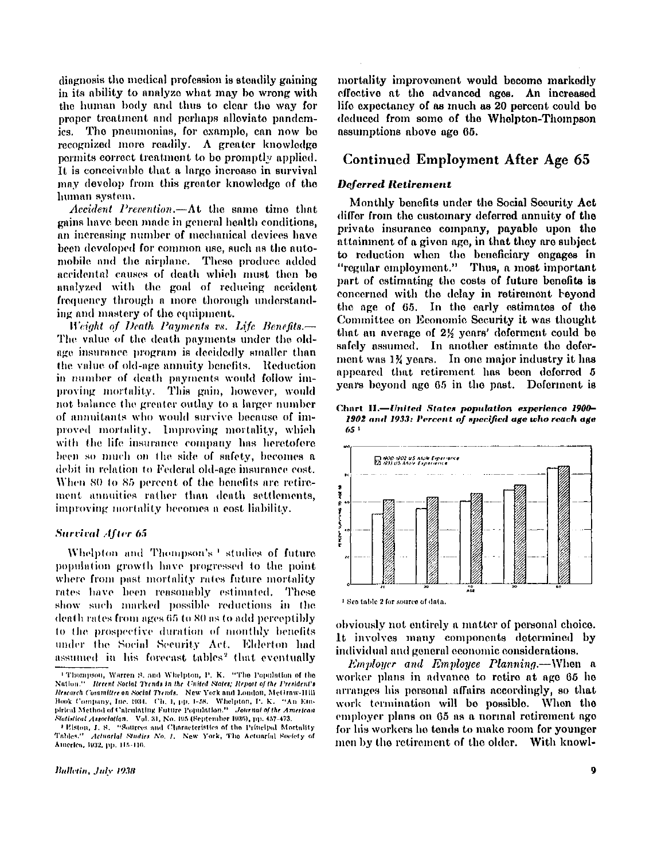**diagnosis the medical profession is steadily gaining in its ability to analyze what may be wrong with the human body and thus to clear the way for proper treatment and perhaps alleviate pandemics. The pneumonias, for example, can now be recognized more readily. A greater knowledge permits correct treatment to be promptly applied. It is conceivable that a large increase in survival may develop from this greater knowledge of the human system.** 

*Accident Prevention.***—At the same time that gains have been made in general health conditions, an increasing number of mechanical devices have been developed for common use, such as the automobile and the airplane. These produce added accidental causes of death which must then be analyzed with the goal of reducing accident frequency through a more thorough understanding and mastery of the equipment.** 

*Weight of Death Payments vs. Life Benefits.—*  **The value of the death payments under the oldage insurance program is decidedly smaller than the value of old-age annuity benefits. Reduction in number of death payments would follow improving mortality. This gain, however, would not balance the greater outlay to a larger number of annuitants who would survive because of improved mortality. Improving mortality, which with the life insurance company has heretofore been so much on the side of safety, becomes a debit in relation to Federal old-age insurance cost. When 80 to 85 percent of the benefits are retirement annuities rather than death settlements, improving mortality becomes a cost liability.** 

#### *Survival After 65*

**Whelpton and Thompson's <sup>1</sup> studies of future population growth have progressed to the point where from past mortality rates future mortality rates have been reasonably estimated. These show such marked possible reductions in the death rates from ages 65 to 80 as to add perceptibly to the prospective duration of monthly benefits under the Social Security Act. Elderton had assumed in his forecast tables <sup>2</sup> that eventually**  **mortality improvement would become markedly effective at the advanced ages. An increased life expectancy of as much as 20 percent could be deduced from some of the Whelpton-Thompson assumptions above age 65.** 

## **Continued Employment After Age 65**

#### *Deferred Retirement*

**Monthly benefits under the Social Security Act differ from the customary deferred annuity of the private insurance company, payable upon the attainment of a given age, in that they are subject to reduction when the beneficiary engages in "regular employment." Thus, a most important part of estimating the costs of future benefits is concerned with the delay in retirement beyond the age of 65. In the early estimates of the Committee on Economic Security it was thought that an average of** *2 1/2* **years' deferment could be safely assumed. In another estimate the deferment was** *1 3/4* **years. I n one major industry it has appeared that retirement has been deferred 5 years beyond age 65 in the past. Deferment is** 

**Chart II.—***United States population experience 1900- 1902 and 1933: Percent of specified age who reach age 65 <sup>1</sup>*



**1 See table 2 for source of data.** 

**obviously not entirely a matter of personal choice. It involves many components determined by individual and general economic considerations.** 

*Employer and Employee Planning.***—When a worker plans in advance to retire at age 65 he arranges his personal affairs accordingly, so that work termination will be possible. When the employer plans on 65 as a normal retirement age for his workers he tends to make room for younger men by the retirement of the older. With knowl-**

**<sup>1</sup> Thompson, Warren S. and Whelpton, P. K. "The Popu Nation," Recent Social Trends in the United States; Report of the President's Research Committee on Social Trends. New York and London, McGraw-Hill Book Company, Inc. 1934. Ch. 1, pp. 1-58. Whelpton, P. K. "An Empirical Method of Calculating Future Population." Journal of the American Statistical Association. Vol. 31, No. 195 (September 1936), pp. 457-473.** 

**<sup>2</sup> Elston, J . S. "Sources and Characteristics of the Principal Mortality Tables."** *Actuarial Studies No. 1.* **New York, The Actuarial Society of America, 1932, pp. 115-116.**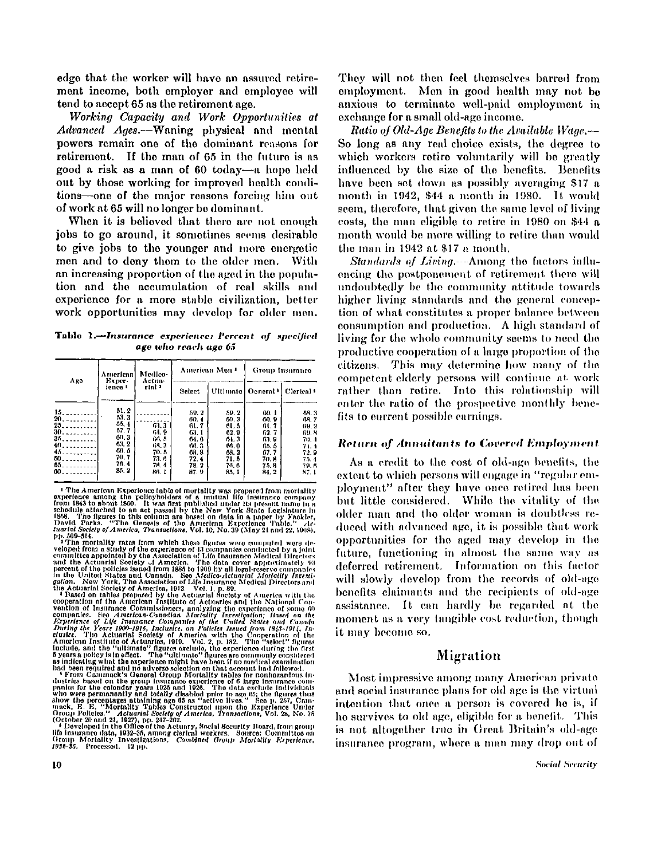**edge that the worker will have an assured retirement income, both employer and employee will tend to accept 65 as the retirement age.** 

*Working Capacity and Work Opportunities at Advanced Ages.***—Waning physical and mental powers remain one of the dominant reasons for retirement. If the man of 65 in the future is as good a risk as a man of 60 today—a hope held out by those working for improved health conditions—one of the major reasons forcing him out of work at 65 will no longer be dominant.** 

**When it is believed that there are not enough jobs to go around, it sometimes seems desirable to give jobs to the younger and more energetic men and to deny them to the older men. With an increasing proportion of the aged in the population and the accumulation of real skills and experience for a more stable civilization, better work opportunities may develop for older men.** 

Table 1.—*Insurance experience: Percent of specified age who reach age 65* 

| Aro                                                                                            | American<br>Exper-<br>ience t                                                  | Medico-<br>Actua-<br>rial 1                                     |                                                                              | American Mon 4                                                                   | Group Insurance                                                                   |                                                                                 |  |
|------------------------------------------------------------------------------------------------|--------------------------------------------------------------------------------|-----------------------------------------------------------------|------------------------------------------------------------------------------|----------------------------------------------------------------------------------|-----------------------------------------------------------------------------------|---------------------------------------------------------------------------------|--|
|                                                                                                |                                                                                |                                                                 | Select                                                                       | Ultimate                                                                         | Oeneral '                                                                         | Clerical <sup>+</sup>                                                           |  |
| $15 - 10 - 100$<br>20.111<br>25<br>$30.$<br>$35$<br>40.1111<br>45.11111<br>50<br>65.<br>$00 -$ | 51.2<br>53.3<br>55.4<br>57.7<br>60.3<br>63.2<br>68.5<br>70, 7<br>76. 4<br>85.2 | 63.3<br>64.9<br>60.5<br>63.7<br>70. 5<br>73. 6<br>74.4<br>86. I | 59.2<br>60.4<br>61.7<br>65.1<br>61.0<br>60.3<br>68.8<br>72.4<br>78.2<br>87.9 | 59.2<br>CD.3<br>61. S<br>62.9<br>61.3<br>M 0<br>08. Z<br>71. 6<br>76. S<br>85. I | uo. 1<br>60.9<br>61. 7<br>62.7<br>63.9<br>55. 5<br>51.7<br>70.8<br>75. B<br>84. 2 | 68.3<br>11.7<br>-69-2<br>69. A<br>70.4<br>71.1<br>72.9<br>75.4<br>79. B<br>37.1 |  |

<sup>1</sup> The American Experience (able of mortality was prepared from mortality form its 3 to a hope the policyholders of a mutual life insurance company from 1843 to about 1860. It was first published under its present name i pp. 509-514. The mortality rates from which these figures were computed were de-

The monthlist rates from which these figures were computed worde-<br>respect from a study of the experience of 43 companies conducted by a joint<br>committee appointed by the Association of Life Insurance Modicin Directors<br>and

**1998-98.** Provident in the Omero in the Commission of the insurance data, 1932-35, among clerical workers. Source: Committee on Group Mortality Investigations. Combined Group Mortality Experience, 1932-35. Processed. 12 p

**They will not then feel themselves barred from employment. Men in good health may not be anxious to terminate well-paid employment in exchange for a small old-age income.** 

*Ratio of Old-Age Benefits to the Available Wage.—*  **So long as any real choice exists, the degree to which workers retire voluntarily will be greatly influenced by the size of the benefits. Benefits have been set down as possibly averaging \$17 a month in 1942, \$44 a month in 1980. It would seem, therefore, that given the same level of living costs, the man eligible to retire in 1980 on \$44 a month would be more willing to retire than would the man in 1942 at \$17 a month.** 

*Standards of Living.***—Among the factors influencing the postponement of retirement there will undoubtedly be the community attitude towards higher living standards and the general conception of what constitutes a proper balance between consumption and production. A high standard of living for the whole community seems to need the productive cooperation of a large proportion of the citizens. This may determine how many of the competent elderly persons will continue at work rather than retire. Into this relationship will enter the ratio of the prospective monthly benefits to current possible earnings.** 

#### *Return of Annuitants to Covered Employment*

**As a credit to the cost of old-age benefits, the extent to which persons will engage in "regular employment" after they have once retired has been but little considered. While the vitality of the older man and the older woman is doubtless reduced with advanced age, it is possible that work opportunities for the aged may develop in the future, functioning in almost the same way as deferred retirement. Information on this factor will slowly develop from the records of old-age benefits claimants and the recipients of old-age assistance. It can hardly be regarded at the moment as a very tangible cost reduction, though it may become so.** 

#### **Migration**

**Most impressive among many American private and social insurance plans for old age is the virtual intention that once a person is covered he is, if he survives to old age, eligible for a benefit. This is not altogether true in Great Britain's old-age insurance program, where a man may drop out of**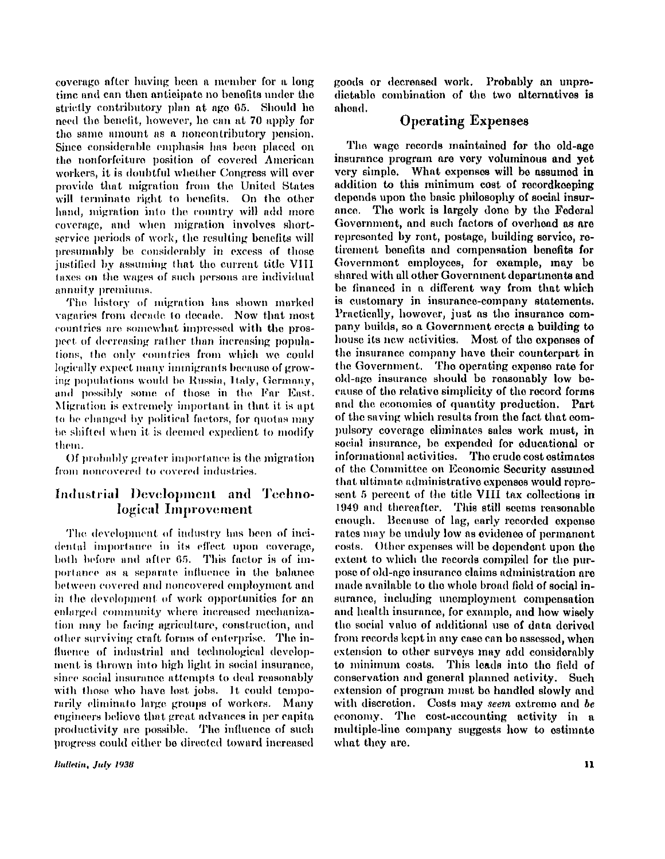**coverage after having been a member for a long time and can then anticipate no benefits under the strictly contributory plan at age 65. Should he need the benefit, however, he can at 70 apply for the same amount as a noncontributory pension. Since considerable emphasis has been placed on the nonforfeiture position of covered American workers, it is doubtful whether Congress will over provide that migration from the United States will terminate right to benefits. On the other hand, migration into the country will add more coverage, and when migration involves shortservice periods of work, the resulting benefits will presumably be considerably in excess of those justified by assuming that the current title VII I taxes on the wages of such persons are individual annuity premiums.** 

**The history of migration has shown marked vagaries from decade to decade. Now that most countries are somewhat impressed with the prospect of decreasing rather than increasing populations, the only countries from which we could logically expect many immigrants because of growing populations would be Russia, Italy, Germany,**  and possibly some of those in the Far East. **Migration is extremely important in that it is apt to be changed by political factors, for quotas may he shifted when it is deemed expedient to modify them.** 

**Of probably greater importance is the migration from noncovered to covered industries.** 

# **Industrial Development and Technological Improvement**

**The. development of industry has been of incidental importance in its effect upon coverage, both before and after 65. This factor is of importance as a separate influence in the balance between covered and noncovered employment and in the development of work opportunities for an enlarged community where increased mechanization may be facing agriculture, construction, and other surviving craft forms of enterprise. The influence of industrial and technological development is thrown into high light in social insurance, since social insurance attempts to deal reasonably with those who have lost jobs. It could temporarily eliminate large groups of workers. Many engineers believe that great advances in per capita productivity are possible. The influence of such progress could either be directed toward increased** 

Bulletin, July 1938

**goods or decreased work. Probably an unpredictable combination of the two alternatives is ahead.** 

# **Operating Expenses**

**The wage records maintained for the old-age insurance program are very voluminous and yet very simple. What expenses will be assumed in addition to this minimum cost of recordkeeping depends upon the basic philosophy of social insurance. The work is largely done by the Federal Government, and such factors of overhead as are represented by rent, postage, building service, retirement benefits and compensation benefits for Government employees, for example, may be shared with all other Government departments and be financed in a different way from that which is customary in insurance-company statements. Practically, however, just as the insurance company builds, so a Government erects a building to house its new activities. Most of the expenses of the insurance company have their counterpart in the Government. The operating expense rate for old-age insurance should be reasonably low because of the relative simplicity of the record forms and the economics of quantity production. Part of the saving which results from the fact that compulsory coverage eliminates sales work must, in social insurance, be expended for educational or informational activities. The crude cost estimates of the Committee on Economic Security assumed that ultimate administrative expenses would represent 5 percent of the title VII I tax collections in 1949 and thereafter. This still seems reasonable enough. Because of lag, early recorded expense rates may be unduly low as evidence of permanent costs. Other expenses will be dependent upon the extent to which the records compiled for the purpose of old-age insurance claims administration are made available to the whole broad field of social insurance, including unemployment compensation and health insurance, for example, and how wisely the social value of additional use of data derived from records kept in any case can be assessed, when extension to other surveys may add considerably to minimum costs. This leads into the field of conservation and general planned activity. Such extension of program must be handled slowly and with discretion. Costs may** *seem* **extreme and** *be*  **economy. The cost-accounting activity in a multiple-line company suggests how to estimate what they are.**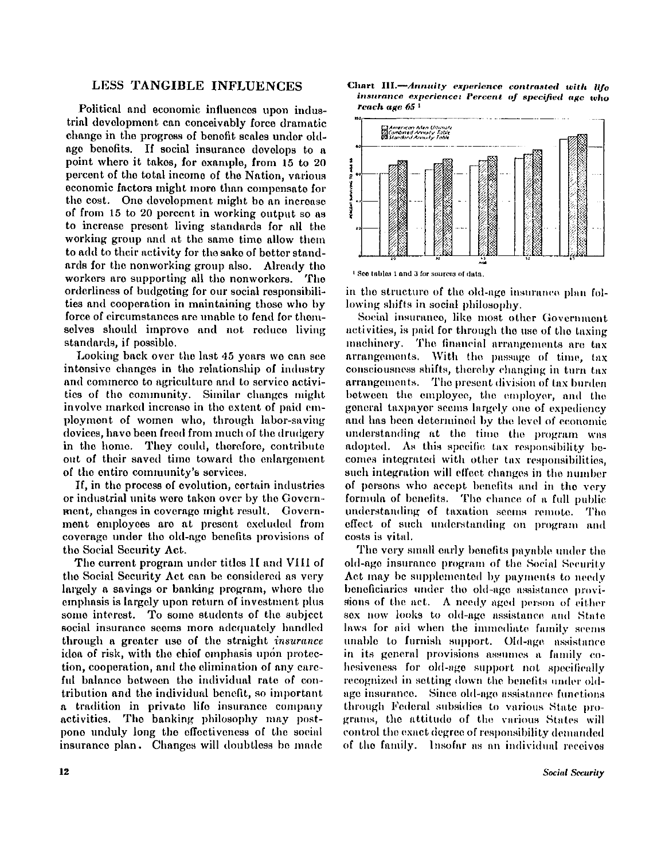### **LESS TANGIBLE INFLUENCES**

**Political and economic influences upon industrial development can conceivably force dramatic change in the progress of benefit scales under oldage benefits. If social insurance develops to a point where it takes, for example, from 15 to 20 percent of the total income of the Nation, various economic factors might more than compensate for the cost. One development might be an increase of from 15 to 20 percent in working output so as to increase present living standards for all the working group and at the same time allow them to add to their activity for the sake of bettor standards for the nonworking group also. Already the workers are supporting all the nonworkers. The orderliness of budgeting for our social responsibilities and cooperation in maintaining those who by force of circumstances are unable to fend for themselves should improve and not reduce living standards, if possible.** 

**Looking back over the last 45 years we can see intensive changes in the relationship of industry and commerce to agriculture and to service activities of the community. Similar changes might involve marked increase in the extent of paid employment of women who, through labor-saving devices, have been freed from much of the drudgery in the home. They could, therefore, contribute out of their saved time toward the enlargement of the entire community's services.** 

**If, in the process of evolution, certain industries or industrial units were taken over by the Government, changes in coverage might result. Government employees are at present excluded from coverage under the old-age benefits provisions of the Social Security Act.** 

The current program under titles II and VIII of **the Social Security Act can be considered as very largely a savings or banking program, where the emphasis is largely upon return of investment plus some interest. To some students of the subject social insurance seems more adequately handled through a greater use of the straight** *insurance*  idea of risk, with the chief emphasis upon protec**tion, cooperation, and the elimination of any careful balance between the individual rate of contribution and the individual benefit, so important a tradition in private life insurance company activities. The banking philosophy may postpone unduly long the effectiveness of the social insurance plan. Changes will doubtless be made** 





**1 See tables 1 and 3 for sources of data.** 

**in the structure of the old-age insurance plan following shifts in social philosophy.** 

**Social insurance, like most other Government activities, is paid for through the use of the taxing machinery. The financial arrangements are tax arrangements. With the passage of time, tax consciousness shifts, thereby changing in turn tax arrangements. The present division of tax burden between the employee, the employer, and the general taxpayer seems largely one of expediency and has been determined by the level of economic understanding at the time the program was adopted. As this specific tax responsibility becomes integrated with other tax responsibilities, such integration will effect changes in the number of persons who accept benefits and in the very formula of benefits. The chance of a full public understanding of taxation seems remote. The effect of such understanding on program and costs is vital.** 

**The very small early benefits payable under the old-age insurance program of the Social Security Act may be supplemented by payments to needy beneficiaries under the old-age assistance provisions of the act. A needy aged person of either sex now looks to old-age assistance and State laws for aid when the immediate family seems unable to furnish support. Old-age assistance in its general provisions assumes a family cohesiveness for old-age support not specifically recognized in setting down the benefits under oldage insurance Since old-age assistance functions through Federal subsidies to various State programs, the attitude of the various States will control the exact degree of responsibility demanded of the family. Insofar as an individual receives**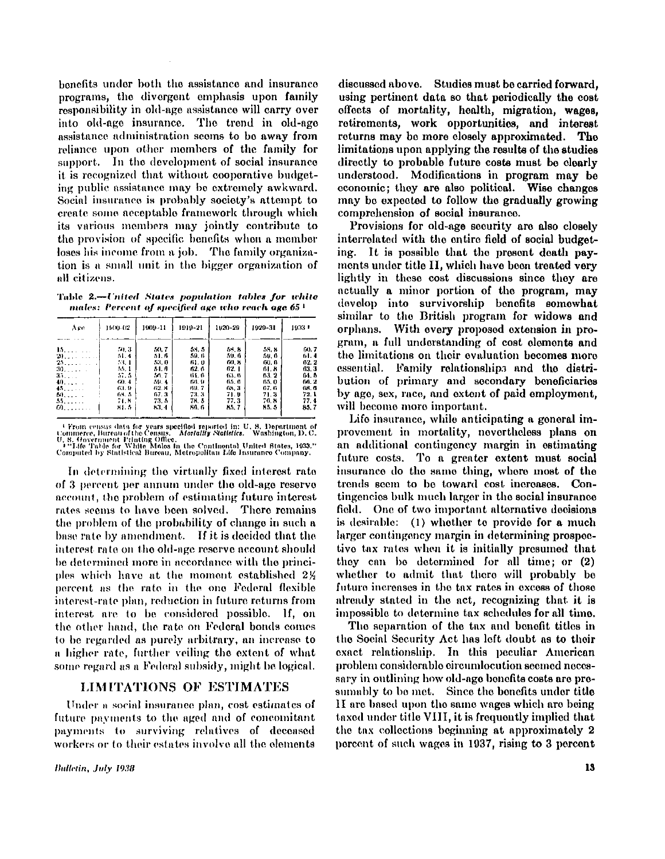**benefits under both the assistance and insurance programs, the divergent emphasis upon family responsibility in old-age assistance will carry over into old-age insurance. The trend in old-age assistance administration seems to be away from reliance upon other members of the family for support. In the development of social insurance it is recognized that without cooperative budgeting public assistance may be extremely awkward.**  Social **insurance is probably society's attempt to create some acceptable framework through which its various members may jointly contribute to the provision of specific benefits when a member loses** his **income from a job. The family organization is a small unit in the bigger organization of**  all citizens.

Table 2.—*United States population tables for white males: Percent of specified age who reach age 65<sup>1</sup>*

| Are              | 11400-02 | 1009-11 | 1010-21 | 1020-20 | 1020-31 | 1033 F |
|------------------|----------|---------|---------|---------|---------|--------|
| 15               | 70 B     | 70.7    | 51.5    | 62 H    | 58. 8   | GO 7   |
| 20               | 51.4     | 51.6    | 59. 6   | 50. 0   | 50. 6   | 51.4   |
| 25.111           | 53.1     | 53.0    | 61.0    | GO 8    | 00. O   | 02.2   |
| 30.111           | -55.1    | 51. A   | 62.6    | 62 I    | 61. S   | 43.3   |
| 33.111           | 57.5     | M. 7    | 61. B   | 63.4    | 63.2    | 04. B  |
| 40               | (30, 4)  | 59.4    | 66. O   | 65.6    | 65.0    | 10.2   |
| 45.111           | 63.9     | 62. R   | 89.7    | A8 3    | 67.6    | GB 6   |
| $M_{2,1,2,2,3}$  | BH 5     | 07.3    | 73.3    | 71.0    | 71.3    | 72.1   |
| 55.111           | 74.8     | 73. 5   | 71.5    | 77.3    | 76.8    | 77.4   |
| $\boldsymbol{a}$ | 84. S    | 83.4    | 80. G   | 85. Z   | 85, 5   | 35, 7  |

<sup>- C</sup>From census data for years specified reported in: U. S. Department of<br>Commerce, Bureau of the Census. *Mortality Natistics*. Washington, D.C.<br>U. S. Government Printing Office.<br>Pomputed by Statistical Bureau, Motropoli

**In determining the virtually fixed interest rate of 3 percent per annum under the old-age reserve account, the problem of estimating future interest rates seems to have been solved. There remains the problem of the probability of change in such a base rate by amendment. If it is decided that the interest rate on the old-age reserve account should be determined more in accordance with the princi**ples which have at the moment established 2<sup>%</sup> **percent as the rate in the one Federal flexible interest-rate plan, reduction in future returns from interest are to be considered possible. If, on the other hand, the rate on Federal bonds comes to be regarded as purely arbitrary, an increase to a higher rate, further veiling the extent of what some regard as a Federal subsidy, might be logical.** 

### **LIMITATIONS OF ESTIMATES**

**Under a social insurance plan, cost estimates of future payments to the aged and of concomitant payments to surviving relatives of deceased workers or to their estates involve all the elements** 

**discussed above. Studies must be carried forward, using pertinent data so that periodically the cost effects of mortality, health, migration, wages, retirements, work opportunities, and interest returns may be more closely approximated. The limitations upon applying the results of the studies directly to probable future costs must be clearly understood. Modifications in program may be economic; they are also political. Wise changes may be expected to follow the gradually growing comprehension of social insurance.** 

**Provisions for old-age security are also closely interrelated with the entire field of social budgeting. It is possible that the present death payments under title II , which have been treated very lightly in these cost discussions since they are actually a minor portion of the program, may develop into survivorship benefits somewhat similar to the British program for widows and orphans. With every proposed extension in program, a full understanding of cost elements and the limitations on their evaluation becomes more essential. Family relationships and the distribution of primary and secondary beneficiaries by age, sex, race, and extent of paid employment, will become more important.** 

**Life insurance, while anticipating a general improvement in mortality, nevertheless plans on an additional contingency margin in estimating future costs. To a greater extent must social insurance do the same thing, where most of the trends seem to be toward cost increases. Contingencies bulk much larger in the social insurance field. One of two important alternative decisions is desirable: (1) whether to provide for a much larger contingency margin in determining prospective tax rates when it is initially presumed that they can be determined for all time; or (2) whether to admit that there will probably be future increases in the tax rates in excess of those already stated in the act, recognizing that it is impossible to determine tax schedules for all time.** 

**The separation of the tax and benefit titles in the Social Security Act has left doubt as to their exact relationship. In this peculiar American problem considerable circumlocution seemed necessary in outlining how old-age benefits costs are presumably to be met. Since the benefits under title I I are based upon the same wages which are being taxed under title VIII , it is frequently implied that the tax collections beginning at approximately 2 percent of such wages in 1937, rising to 3 percent**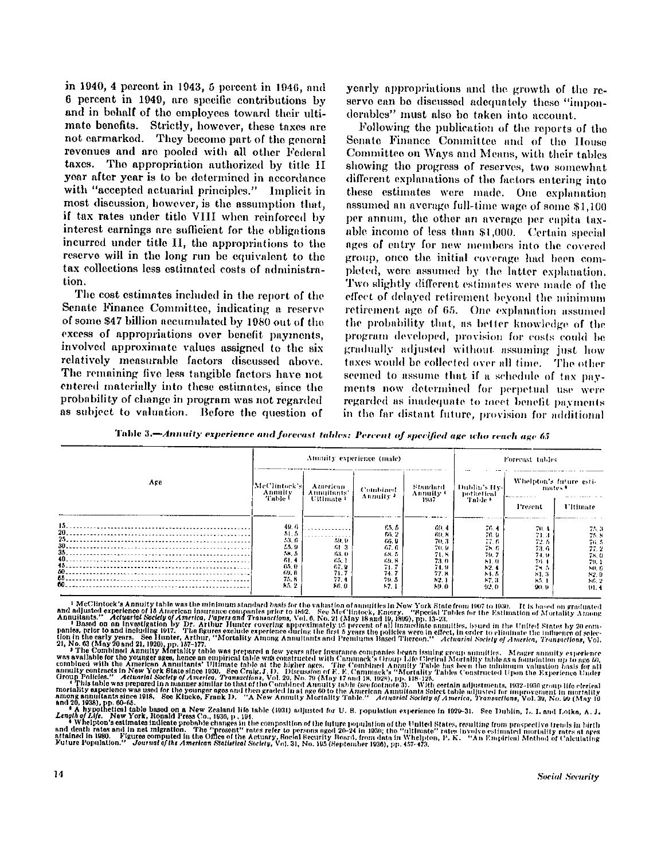**in 1940, 4 percent in 1943, 5 percent in 1946, and 6 percent in 1949, are specific contributions by and in behalf of the employees toward their ultimate benefits. Strictly, however, these taxes are not earmarked. They become part of the general revenues and are pooled with all other Federal taxes. The appropriation authorized by title II year after year is to be determined in accordance with "accepted actuarial principles." Implicit in most discussion, however, is the assumption that, if tax rates under title VII I when reinforced by interest earnings are sufficient for the obligations**  incurred under title II, the appropriations to the **reserve will in the long run be equivalent to the tax collections less estimated costs of administration.** 

**The cost estimates included in the report of the Senate Finance Committee, indicating a reserve of some \$47 billion accumulated by 1980 out of the excess of appropriations over benefit payments, involved approximate values assigned to the six relatively measurable factors discussed above. The remaining five less tangible factors have not entered materially into these estimates, since the probability of change in program was not regarded as subject to valuation. Before the question of** 

**yearly appropriations and the growth of the re**serve can be discussed adequately these "impon**derables" must also be taken into account.** 

**Following the publication of the reports of the Senate Finance Committee and of the House Committee on Ways and Means, with their tables showing the progress of reserves, two somewhat different explanations of the factors entering into these estimates were made. One explanation assumed an average full-time wage of some \$1,100 per annum, the other an average per capita taxable income of less than \$1,000. Certain special ages of entry for new members into the covered group, once the initial coverage had been completed, were assumed by the latter explanation. Two slightly different estimates were made of the effect of delayed retirement beyond the minimum retirement age of 65. One explanation assumed the probability that, as better knowledge of the program developed, provision for costs could be gradually adjusted without assuming just how taxes would be collected over all time. The other seemed to assume that if a schedule of tax payments now determined for perpetual use were regarded as inadequate to meet benefit payments in the far distant future, provision for additional** 

Table 3.—*Annuity experience and forecast tables: Percent of specified age who reach age 65* 

|                                                  | Annuity experience (male)                                                        |                                                       |                                                                           |                                                                             | Forecast tables                                                            |                                                                        |                                                                         |
|--------------------------------------------------|----------------------------------------------------------------------------------|-------------------------------------------------------|---------------------------------------------------------------------------|-----------------------------------------------------------------------------|----------------------------------------------------------------------------|------------------------------------------------------------------------|-------------------------------------------------------------------------|
| Are                                              | McClintock's<br>Annuity<br>Table t                                               | American<br>Annuitants'<br>Ultimate <sup>1</sup>      | <b>Combined</b><br>Annulty <sup>3</sup>                                   | Standard<br>Annuity +<br>1957.                                              | Dublin's Hy-<br>pothetical<br>Table +                                      | Whelpton's future esti-<br>mates *                                     |                                                                         |
|                                                  |                                                                                  |                                                       |                                                                           |                                                                             |                                                                            | Present.                                                               | Ultimate                                                                |
| 15.<br>20.<br>25<br>$40 -$<br>$45 -$<br>60<br>55 | 40.6<br>51.5<br>53. G<br>55.9<br>M <sub>2</sub><br>61.4<br>65.0<br>69. G<br>75.1 | 59.9<br>61-3<br>63. O<br>65.1<br>67.9<br>71.7<br>77.4 | 65. S<br>66.2<br>66. U<br>67.6<br>68. S<br>69. S<br>71. 7<br>71.7<br>70.5 | 69.4<br>FO. 8<br>70.31<br>70. 91<br>71.8<br>73.0<br>74. 9.<br>77.8<br>N., 1 | 76.4<br>76. O.<br>77. 6.<br>78 G.<br>70. 7<br>h1.0<br>12.4<br>1.5<br>87. 3 | 70.4<br>71.3<br>72.5<br>73.6<br>74. 9.<br>76.4<br>74 S<br>81.3<br>85.1 | 7.7.3<br>71.8<br>74. 5<br>77.2<br>78.0<br>70.1<br>MI. 6<br>92.9<br>56.2 |

<sup>1</sup>McClintock's Annulty table was the minimum standard basis for the valuation of annulties in New York State from 1007 to 1682. This hasted from 1007 to 1682. This hasted from 1007 to 1682. This hasted in the United Stat